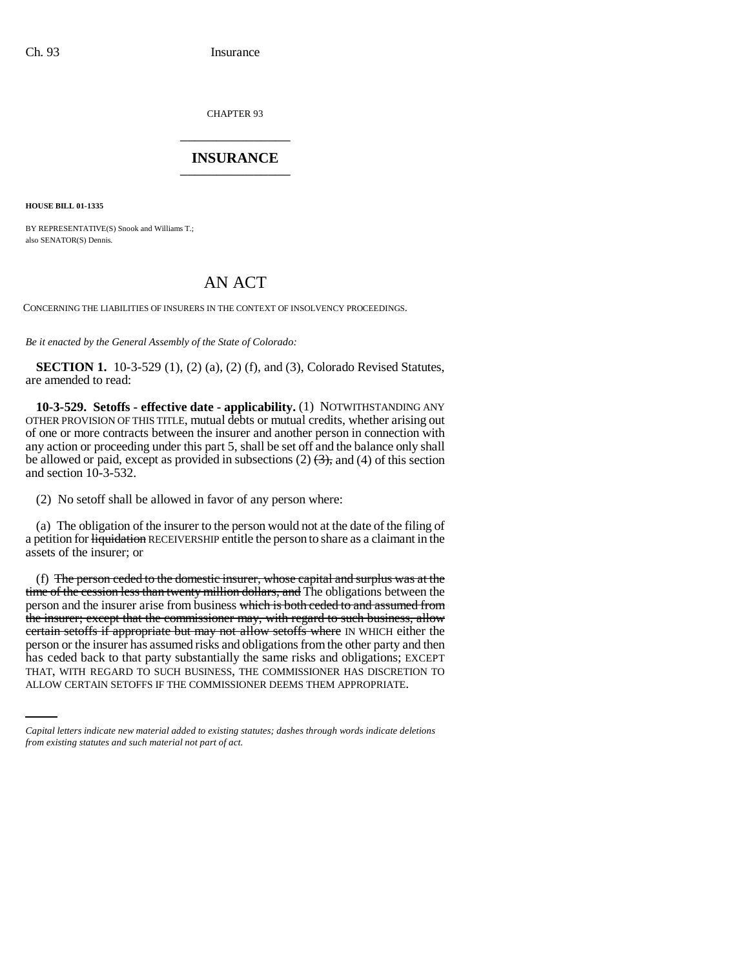CHAPTER 93 \_\_\_\_\_\_\_\_\_\_\_\_\_\_\_

## **INSURANCE** \_\_\_\_\_\_\_\_\_\_\_\_\_\_\_

**HOUSE BILL 01-1335**

BY REPRESENTATIVE(S) Snook and Williams T.; also SENATOR(S) Dennis.

## AN ACT

CONCERNING THE LIABILITIES OF INSURERS IN THE CONTEXT OF INSOLVENCY PROCEEDINGS.

*Be it enacted by the General Assembly of the State of Colorado:*

**SECTION 1.** 10-3-529 (1), (2) (a), (2) (f), and (3), Colorado Revised Statutes, are amended to read:

**10-3-529. Setoffs - effective date - applicability.** (1) NOTWITHSTANDING ANY OTHER PROVISION OF THIS TITLE, mutual debts or mutual credits, whether arising out of one or more contracts between the insurer and another person in connection with any action or proceeding under this part 5, shall be set off and the balance only shall be allowed or paid, except as provided in subsections  $(2)$   $(3)$ , and  $(4)$  of this section and section 10-3-532.

(2) No setoff shall be allowed in favor of any person where:

(a) The obligation of the insurer to the person would not at the date of the filing of a petition for liquidation RECEIVERSHIP entitle the person to share as a claimant in the assets of the insurer; or

has ceded back to that party substantially the same risks and obligations; EXCEPT (f) The person ceded to the domestic insurer, whose capital and surplus was at the time of the cession less than twenty million dollars, and The obligations between the person and the insurer arise from business which is both ceded to and assumed from the insurer; except that the commissioner may, with regard to such business, allow certain setoffs if appropriate but may not allow setoffs where IN WHICH either the person or the insurer has assumed risks and obligations from the other party and then THAT, WITH REGARD TO SUCH BUSINESS, THE COMMISSIONER HAS DISCRETION TO ALLOW CERTAIN SETOFFS IF THE COMMISSIONER DEEMS THEM APPROPRIATE.

*Capital letters indicate new material added to existing statutes; dashes through words indicate deletions from existing statutes and such material not part of act.*